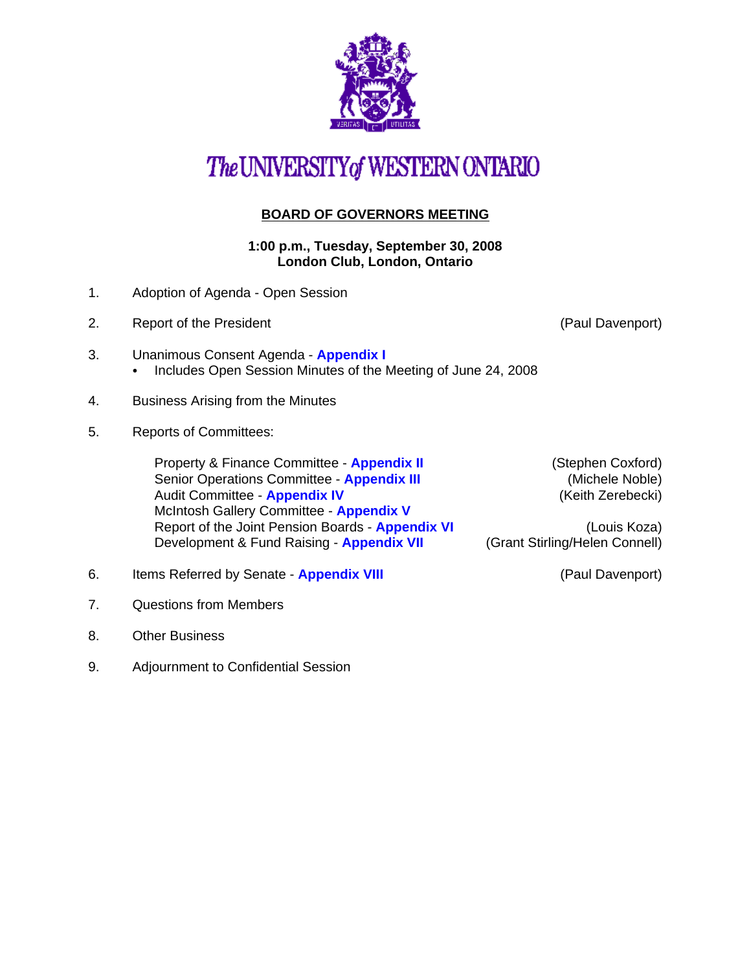

# The UNIVERSITY of WESTERN ONTARIO

## **BOARD OF GOVERNORS MEETING**

**1:00 p.m., Tuesday, September 30, 2008 London Club, London, Ontario**

- 1. Adoption of Agenda Open Session
- 2. Report of the President (Paul Davenport)
- 3. Unanimous Consent Agenda **[Appendix I](http://www.uwo.ca/univsec/board/minutes/2008/r0809consent.pdf)**  • Includes Open Session Minutes of the Meeting of June 24, 2008
- 4. Business Arising from the Minutes
- 5. Reports of Committees:

Property & Finance Committee - **[Appendix II](http://www.uwo.ca/univsec/board/minutes/2008/r0809pf.pdf)** (Stephen Coxford) Senior Operations Committee - **[Appendix III](http://www.uwo.ca/univsec/board/minutes/2008/r0809srops.pdf) Exercise 2018** (Michele Noble) Audit Committee - **[Appendix IV](http://www.uwo.ca/univsec/board/minutes/2008/r0809audit.pdf) Audit Committee - Appendix IV (Keith Zerebecki)** McIntosh Gallery Committee - **[Appendix V](http://www.uwo.ca/univsec/board/minutes/2008/r0809mcintosh.pdf)** Report of the Joint Pension Boards - **[Appendix VI](http://www.uwo.ca/univsec/board/minutes/2008/r0809jtpension.pdf)** (Louis Koza) Development & Fund Raising - **[Appendix VII](http://www.uwo.ca/univsec/board/minutes/2008/r0809dfr.pdf)** (Grant Stirling/Helen Connell)

- 6. Items Referred by Senate **[Appendix VIII](http://www.uwo.ca/univsec/board/minutes/2008/r0809sen.pdf)** (Paul Davenport)
- 7. Questions from Members
- 8. Other Business
- 9. Adjournment to Confidential Session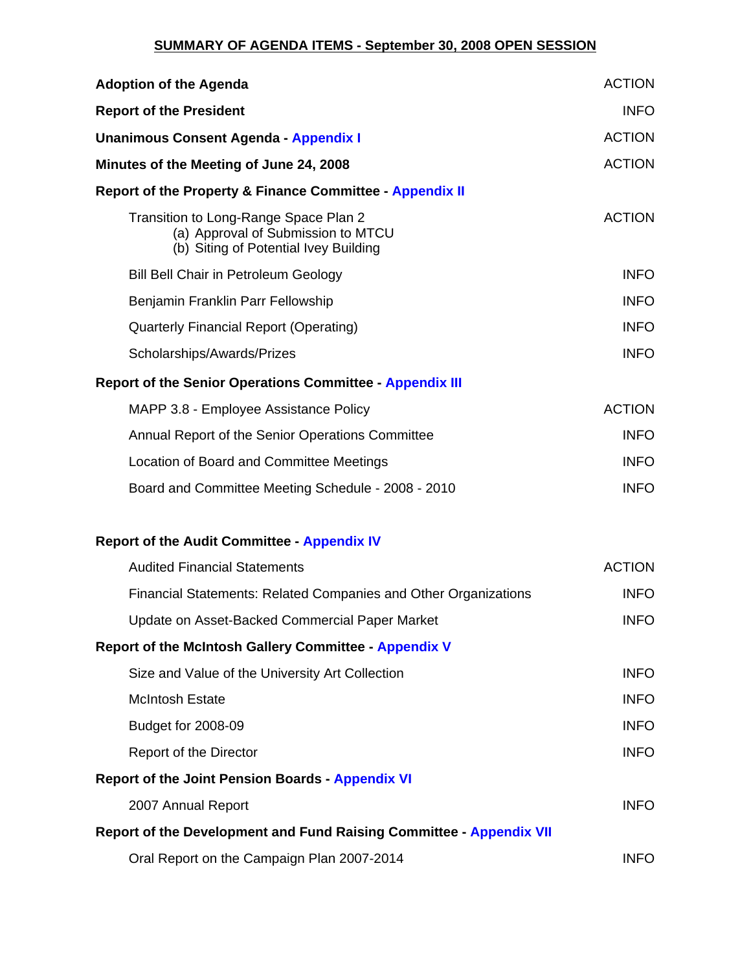#### **SUMMARY OF AGENDA ITEMS - September 30, 2008 OPEN SESSION**

| <b>Adoption of the Agenda</b>                                                                                        | <b>ACTION</b> |
|----------------------------------------------------------------------------------------------------------------------|---------------|
| <b>Report of the President</b>                                                                                       | <b>INFO</b>   |
| <b>Unanimous Consent Agenda - Appendix I</b>                                                                         | <b>ACTION</b> |
| Minutes of the Meeting of June 24, 2008                                                                              | <b>ACTION</b> |
| <b>Report of the Property &amp; Finance Committee - Appendix II</b>                                                  |               |
| Transition to Long-Range Space Plan 2<br>(a) Approval of Submission to MTCU<br>(b) Siting of Potential Ivey Building | <b>ACTION</b> |
| <b>Bill Bell Chair in Petroleum Geology</b>                                                                          | <b>INFO</b>   |
| Benjamin Franklin Parr Fellowship                                                                                    | <b>INFO</b>   |
| <b>Quarterly Financial Report (Operating)</b>                                                                        | <b>INFO</b>   |
| Scholarships/Awards/Prizes                                                                                           | <b>INFO</b>   |
| <b>Report of the Senior Operations Committee - Appendix III</b>                                                      |               |
| MAPP 3.8 - Employee Assistance Policy                                                                                | <b>ACTION</b> |
| Annual Report of the Senior Operations Committee                                                                     | <b>INFO</b>   |
| Location of Board and Committee Meetings                                                                             | <b>INFO</b>   |
| Board and Committee Meeting Schedule - 2008 - 2010                                                                   | <b>INFO</b>   |
| <b>Report of the Audit Committee - Appendix IV</b>                                                                   |               |
| <b>Audited Financial Statements</b>                                                                                  | <b>ACTION</b> |
| Financial Statements: Related Companies and Other Organizations                                                      | <b>INFO</b>   |
| Update on Asset-Backed Commercial Paper Market                                                                       | <b>INFO</b>   |
| <b>Report of the McIntosh Gallery Committee - Appendix V</b>                                                         |               |
| Size and Value of the University Art Collection                                                                      | <b>INFO</b>   |
| <b>McIntosh Estate</b>                                                                                               | <b>INFO</b>   |
| Budget for 2008-09                                                                                                   | <b>INFO</b>   |
| <b>Report of the Director</b>                                                                                        | <b>INFO</b>   |
| <b>Report of the Joint Pension Boards - Appendix VI</b>                                                              |               |
| 2007 Annual Report                                                                                                   | <b>INFO</b>   |
| <b>Report of the Development and Fund Raising Committee - Appendix VII</b>                                           |               |
| Oral Report on the Campaign Plan 2007-2014                                                                           | <b>INFO</b>   |